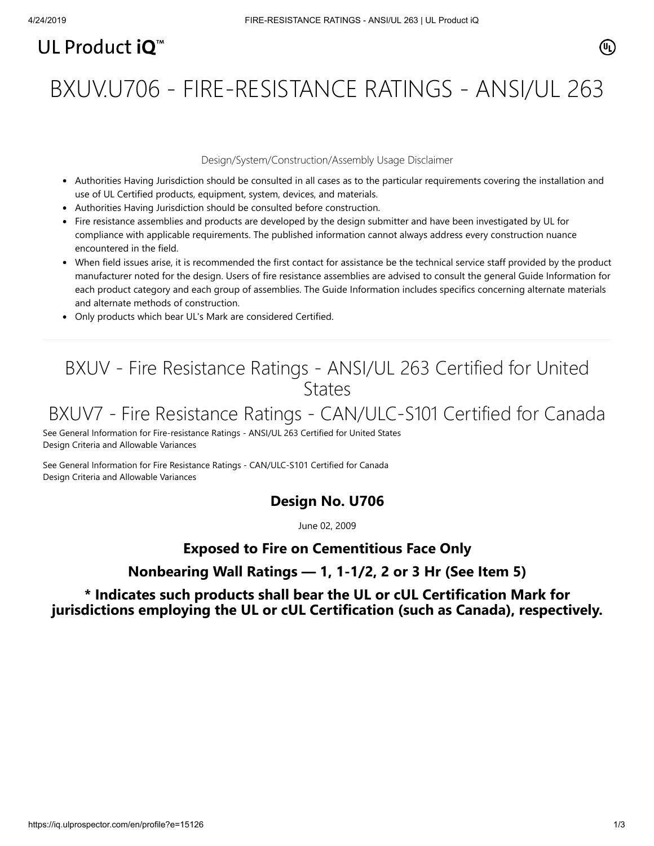# UL Product  $i\mathbf{O}^m$

# BXUV.U706 - FIRE-RESISTANCE RATINGS - ANSI/UL 263

#### Design/System/Construction/Assembly Usage Disclaimer

- Authorities Having Jurisdiction should be consulted in all cases as to the particular requirements covering the installation and use of UL Certified products, equipment, system, devices, and materials.
- Authorities Having Jurisdiction should be consulted before construction.
- Fire resistance assemblies and products are developed by the design submitter and have been investigated by UL for compliance with applicable requirements. The published information cannot always address every construction nuance encountered in the field.
- When field issues arise, it is recommended the first contact for assistance be the technical service staff provided by the product manufacturer noted for the design. Users of fire resistance assemblies are advised to consult the general Guide Information for each product category and each group of assemblies. The Guide Information includes specifics concerning alternate materials and alternate methods of construction.
- Only products which bear UL's Mark are considered Certified.

# BXUV - Fire Resistance Ratings - ANSI/UL 263 Certified for United **States**

# BXUV7 - Fire Resistance Ratings - CAN/ULC-S101 Certified for Canada

[See General Information for Fire-resistance Ratings - ANSI/UL 263 Certified for United States](https://iq.ulprospector.com/cgi-bin/XYV/template/LISEXT/1FRAME/showpage.html?name=BXUV.GuideInfo&ccnshorttitle=Fire-resistance+Ratings+-+ANSI/UL+263&objid=1074327030&cfgid=1073741824&version=versionless&parent_id=1073984818&sequence=1) Design Criteria and Allowable Variances

[See General Information for Fire Resistance Ratings - CAN/ULC-S101 Certified for Canada](https://iq.ulprospector.com/cgi-bin/XYV/template/LISEXT/1FRAME/showpage.html?name=BXUV7.GuideInfo&ccnshorttitle=Fire+Resistance+Ratings+-+CAN/ULC-S101+Certified+for+Canada&objid=1074205658&cfgid=1073741824&version=versionless&parent_id=1073984820&sequence=1) Design Criteria and Allowable Variances

#### **Design No. U706**

June 02, 2009

## **Exposed to Fire on Cementitious Face Only**

## **Nonbearing Wall Ratings — 1, 1-1/2, 2 or 3 Hr (See Item 5)**

### **\* Indicates such products shall bear the UL or cUL Certification Mark for jurisdictions employing the UL or cUL Certification (such as Canada), respectively.**

⁄ඔ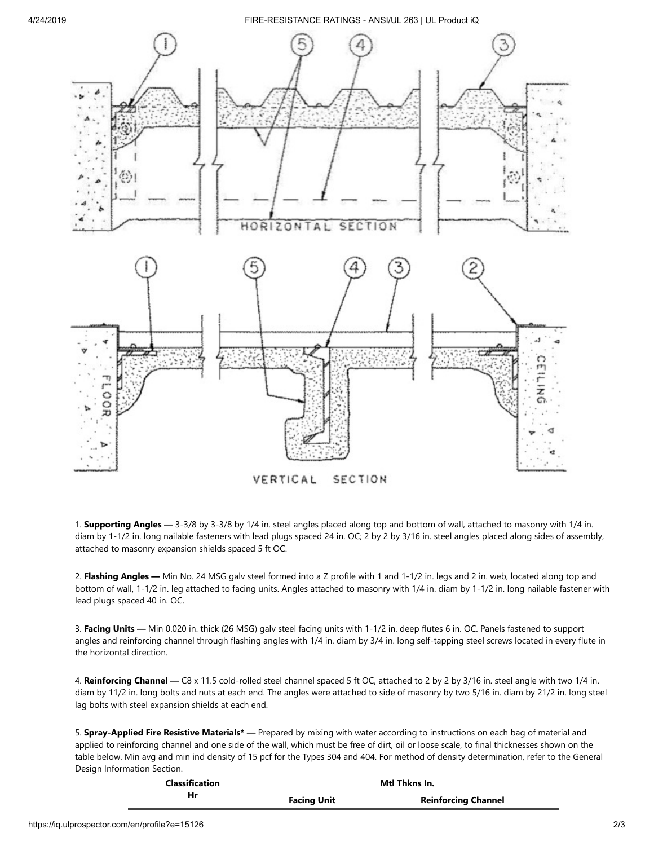4/24/2019 FIRE-RESISTANCE RATINGS - ANSI/UL 263 | UL Product iQ



1. **Supporting Angles —** 3-3/8 by 3-3/8 by 1/4 in. steel angles placed along top and bottom of wall, attached to masonry with 1/4 in. diam by 1-1/2 in. long nailable fasteners with lead plugs spaced 24 in. OC; 2 by 2 by 3/16 in. steel angles placed along sides of assembly, attached to masonry expansion shields spaced 5 ft OC.

2. **Flashing Angles —** Min No. 24 MSG galv steel formed into a Z profile with 1 and 1-1/2 in. legs and 2 in. web, located along top and bottom of wall, 1-1/2 in. leg attached to facing units. Angles attached to masonry with 1/4 in. diam by 1-1/2 in. long nailable fastener with lead plugs spaced 40 in. OC.

3. **Facing Units —** Min 0.020 in. thick (26 MSG) galv steel facing units with 1-1/2 in. deep flutes 6 in. OC. Panels fastened to support angles and reinforcing channel through flashing angles with 1/4 in. diam by 3/4 in. long self-tapping steel screws located in every flute in the horizontal direction.

4. **Reinforcing Channel —** C8 x 11.5 cold-rolled steel channel spaced 5 ft OC, attached to 2 by 2 by 3/16 in. steel angle with two 1/4 in. diam by 11/2 in. long bolts and nuts at each end. The angles were attached to side of masonry by two 5/16 in. diam by 21/2 in. long steel lag bolts with steel expansion shields at each end.

5. **Spray-Applied Fire Resistive Materials\* —** Prepared by mixing with water according to instructions on each bag of material and applied to reinforcing channel and one side of the wall, which must be free of dirt, oil or loose scale, to final thicknesses shown on the table below. Min avg and min ind density of 15 pcf for the Types 304 and 404. For method of density determination, refer to the General Design Information Section.

| <b>Classification</b> |                    | Mti Thkns In.              |
|-----------------------|--------------------|----------------------------|
| Hr                    | <b>Facing Unit</b> | <b>Reinforcing Channel</b> |